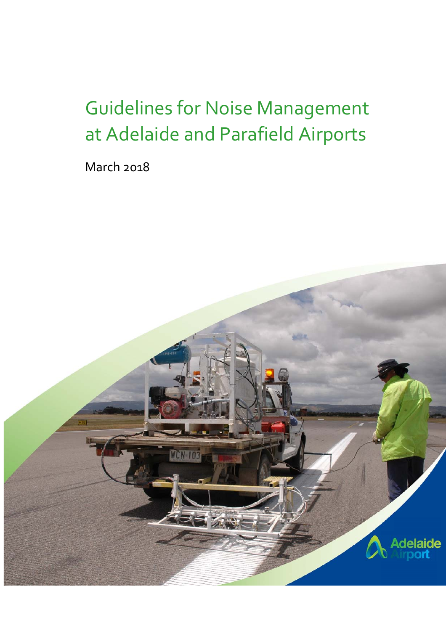# Guidelines for Noise Management at Adelaide and Parafield Airports

March 2018

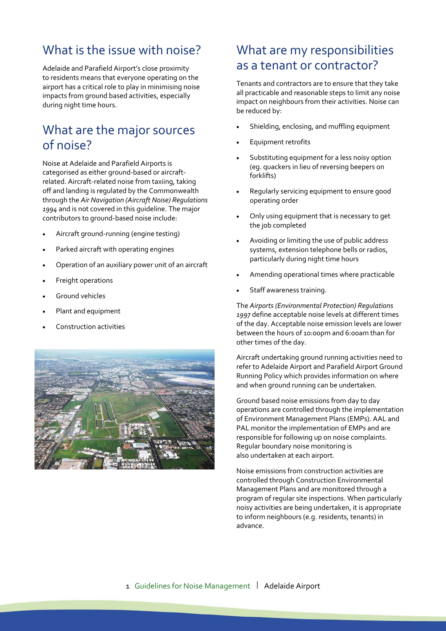### What is the issue with noise?

Adelaide and Parafield Airport's close proximity to residents means that everyone operating on the airport has a critical role to play in minimising noise impacts from ground based activities, especially during night time hours.

#### What are the major sources of noise?

Noise at Adelaide and Parafield Airports is categorised as either ground‐based or aircraft‐ related. Aircraft‐related noise from taxiing, taking off and landing is regulated by the Commonwealth through the *Air Navigation (Aircraft Noise) Regulations 1994* and is not covered in this guideline. The major contributors to ground‐based noise include:

- Aircraft ground‐running (engine testing)
- Parked aircraft with operating engines
- Operation of an auxiliary power unit of an aircraft
- Freight operations
- Ground vehicles
- Plant and equipment
- Construction activities



#### What are my responsibilities as a tenant or contractor?

Tenants and contractors are to ensure that they take all practicable and reasonable steps to limit any noise impact on neighbours from their activities. Noise can be reduced by:

- Shielding, enclosing, and muffling equipment
- Equipment retrofits
- Substituting equipment for a less noisy option (eg. quackers in lieu of reversing beepers on forklifts)
- Regularly servicing equipment to ensure good operating order
- Only using equipment that is necessary to get the job completed
- Avoiding or limiting the use of public address systems, extension telephone bells or radios, particularly during night time hours
- Amending operational times where practicable
- Staff awareness training.

The *Airports (Environmental Protection) Regulations 1997* define acceptable noise levels at different times of the day. Acceptable noise emission levels are lower between the hours of 10:00pm and 6:00am than for other times of the day.

Aircraft undertaking ground running activities need to refer to Adelaide Airport and Parafield Airport Ground Running Policy which provides information on where and when ground running can be undertaken.

Ground based noise emissions from day to day operations are controlled through the implementation of Environment Management Plans (EMPs). AAL and PAL monitor the implementation of EMPs and are responsible for following up on noise complaints. Regular boundary noise monitoring is also undertaken at each airport.

Noise emissions from construction activities are controlled through Construction Environmental Management Plans and are monitored through a program of regular site inspections. When particularly noisy activities are being undertaken, it is appropriate to inform neighbours (e.g. residents, tenants) in advance.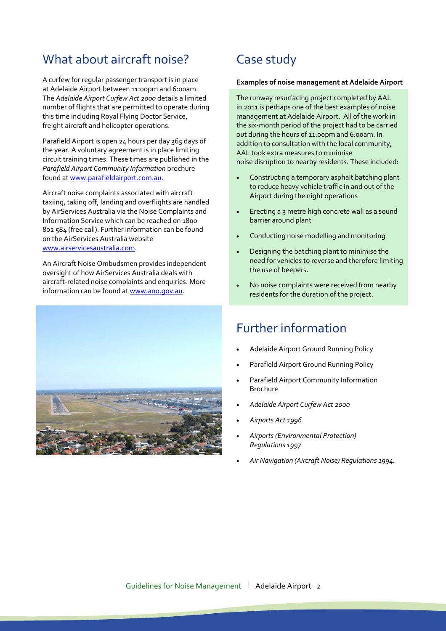#### What about aircraft noise?

A curfew for regular passenger transport is in place at Adelaide Airport between 11:00pm and 6:00am. The *Adelaide Airport Curfew Act 2000* details a limited number of flights that are permitted to operate during this time including Royal Flying Doctor Service, freight aircraft and helicopter operations.

Parafield Airport is open 24 hours per day 365 days of the year. A voluntary agreement is in place limiting circuit training times. These times are published in the *Parafield Airport Community Information* brochure found at www.parafieldairport.com.au.

Aircraft noise complaints associated with aircraft taxiing, taking off, landing and overflights are handled by AirServices Australia via the Noise Complaints and Information Service which can be reached on 1800 802 584 (free call). Further information can be found on the AirServices Australia website www.airservicesaustralia.com.

An Aircraft Noise Ombudsmen provides independent oversight of how AirServices Australia deals with aircraft‐related noise complaints and enquiries. More information can be found at www.ano.gov.au.



## Case study

#### **Examples of noise management at Adelaide Airport**

The runway resurfacing project completed by AAL in 2011 is perhaps one of the best examples of noise management at Adelaide Airport. All of the work in the six‐month period of the project had to be carried out during the hours of 11:00pm and 6:00am. In addition to consultation with the local community, AAL took extra measures to minimise noise disruption to nearby residents. These included:

- Constructing a temporary asphalt batching plant to reduce heavy vehicle traffic in and out of the Airport during the night operations
- Erecting a 3 metre high concrete wall as a sound barrier around plant
- Conducting noise modelling and monitoring
- Designing the batching plant to minimise the need for vehicles to reverse and therefore limiting the use of beepers.
- No noise complaints were received from nearby residents for the duration of the project.

#### Further information

- Adelaide Airport Ground Running Policy
- Parafield Airport Ground Running Policy
- Parafield Airport Community Information Brochure
- *Adelaide Airport Curfew Act 2000*
- *Airports Act 1996*
- *Airports (Environmental Protection) Regulations 1997*
- *Air Navigation (Aircraft Noise) Regulations 1994.*